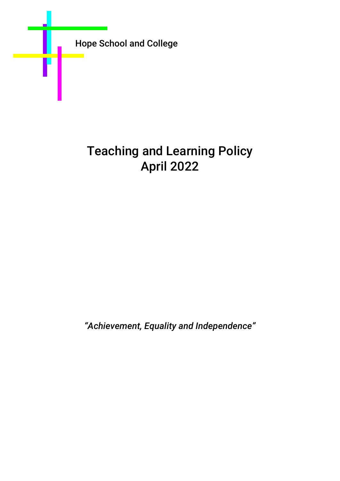

# Teaching and Learning Policy April 2022

*"Achievement, Equality and Independence"*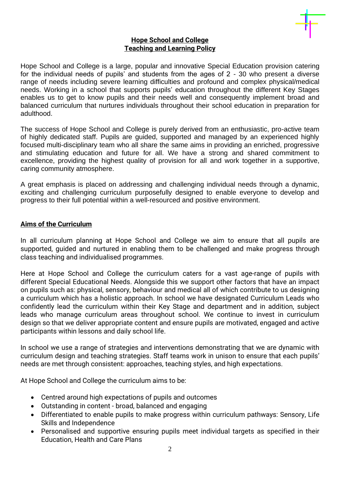

#### **Hope School and College Teaching and Learning Policy**

Hope School and College is a large, popular and innovative Special Education provision catering for the individual needs of pupils' and students from the ages of 2 - 30 who present a diverse range of needs including severe learning difficulties and profound and complex physical/medical needs. Working in a school that supports pupils' education throughout the different Key Stages enables us to get to know pupils and their needs well and consequently implement broad and balanced curriculum that nurtures individuals throughout their school education in preparation for adulthood.

The success of Hope School and College is purely derived from an enthusiastic, pro-active team of highly dedicated staff. Pupils are guided, supported and managed by an experienced highly focused multi-disciplinary team who all share the same aims in providing an enriched, progressive and stimulating education and future for all. We have a strong and shared commitment to excellence, providing the highest quality of provision for all and work together in a supportive, caring community atmosphere.

A great emphasis is placed on addressing and challenging individual needs through a dynamic, exciting and challenging curriculum purposefully designed to enable everyone to develop and progress to their full potential within a well-resourced and positive environment.

# **Aims of the Curriculum**

In all curriculum planning at Hope School and College we aim to ensure that all pupils are supported, guided and nurtured in enabling them to be challenged and make progress through class teaching and individualised programmes.

Here at Hope School and College the curriculum caters for a vast age-range of pupils with different Special Educational Needs. Alongside this we support other factors that have an impact on pupils such as: physical, sensory, behaviour and medical all of which contribute to us designing a curriculum which has a holistic approach. In school we have designated Curriculum Leads who confidently lead the curriculum within their Key Stage and department and in addition, subject leads who manage curriculum areas throughout school. We continue to invest in curriculum design so that we deliver appropriate content and ensure pupils are motivated, engaged and active participants within lessons and daily school life.

In school we use a range of strategies and interventions demonstrating that we are dynamic with curriculum design and teaching strategies. Staff teams work in unison to ensure that each pupils' needs are met through consistent: approaches, teaching styles, and high expectations.

At Hope School and College the curriculum aims to be:

- Centred around high expectations of pupils and outcomes
- Outstanding in content broad, balanced and engaging
- Differentiated to enable pupils to make progress within curriculum pathways: Sensory, Life Skills and Independence
- Personalised and supportive ensuring pupils meet individual targets as specified in their Education, Health and Care Plans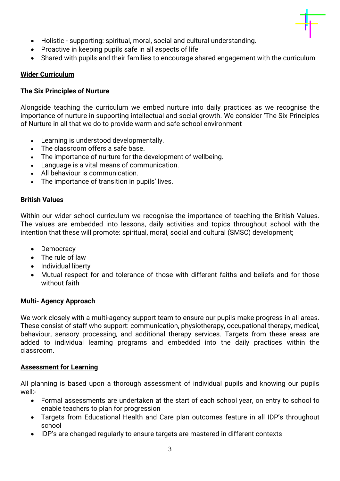

- Holistic supporting: spiritual, moral, social and cultural understanding.
- Proactive in keeping pupils safe in all aspects of life
- Shared with pupils and their families to encourage shared engagement with the curriculum

## **Wider Curriculum**

## **The Six Principles of Nurture**

Alongside teaching the curriculum we embed nurture into daily practices as we recognise the importance of nurture in supporting intellectual and social growth. We consider 'The Six Principles of Nurture in all that we do to provide warm and safe school environment

- Learning is understood developmentally.
- The classroom offers a safe base.
- The importance of nurture for the development of wellbeing.
- Language is a vital means of communication.
- All behaviour is communication.
- The importance of transition in pupils' lives.

# **British Values**

Within our wider school curriculum we recognise the importance of teaching the British Values. The values are embedded into lessons, daily activities and topics throughout school with the intention that these will promote: spiritual, moral, social and cultural (SMSC) development;

- Democracy
- The rule of law
- Individual liberty
- Mutual respect for and tolerance of those with different faiths and beliefs and for those without faith

# **Multi- Agency Approach**

We work closely with a multi-agency support team to ensure our pupils make progress in all areas. These consist of staff who support: communication, physiotherapy, occupational therapy, medical, behaviour, sensory processing, and additional therapy services. Targets from these areas are added to individual learning programs and embedded into the daily practices within the classroom.

# **Assessment for Learning**

All planning is based upon a thorough assessment of individual pupils and knowing our pupils well:-

- Formal assessments are undertaken at the start of each school year, on entry to school to enable teachers to plan for progression
- Targets from Educational Health and Care plan outcomes feature in all IDP's throughout school
- IDP's are changed regularly to ensure targets are mastered in different contexts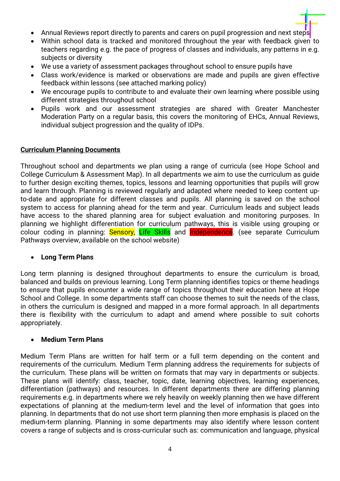- Annual Reviews report directly to parents and carers on pupil progression and next steps
- Within school data is tracked and monitored throughout the year with feedback given to teachers regarding e.g. the pace of progress of classes and individuals, any patterns in e.g. subjects or diversity
- We use a variety of assessment packages throughout school to ensure pupils have
- Class work/evidence is marked or observations are made and pupils are given effective feedback within lessons (see attached marking policy)
- We encourage pupils to contribute to and evaluate their own learning where possible using different strategies throughout school
- Pupils work and our assessment strategies are shared with Greater Manchester Moderation Party on a regular basis, this covers the monitoring of EHCs, Annual Reviews, individual subject progression and the quality of IDPs.

#### **Curriculum Planning Documents**

Throughout school and departments we plan using a range of curricula (see Hope School and College Curriculum & Assessment Map). In all departments we aim to use the curriculum as guide to further design exciting themes, topics, lessons and learning opportunities that pupils will grow and learn through. Planning is reviewed regularly and adapted where needed to keep content upto-date and appropriate for different classes and pupils. All planning is saved on the school system to access for planning ahead for the term and year. Curriculum leads and subject leads have access to the shared planning area for subject evaluation and monitoring purposes. In planning we highlight differentiation for curriculum pathways, this is visible using grouping or colour coding in planning: **Sensory, Life Skills** and **Independence**. (see separate Curriculum Pathways overview, available on the school website)

#### • **Long Term Plans**

Long term planning is designed throughout departments to ensure the curriculum is broad, balanced and builds on previous learning. Long Term planning identifies topics or theme headings to ensure that pupils encounter a wide range of topics throughout their education here at Hope School and College. In some departments staff can choose themes to suit the needs of the class, in others the curriculum is designed and mapped in a more formal approach. In all departments there is flexibility with the curriculum to adapt and amend where possible to suit cohorts appropriately.

#### • **Medium Term Plans**

Medium Term Plans are written for half term or a full term depending on the content and requirements of the curriculum. Medium Term planning address the requirements for subjects of the curriculum. These plans will be written on formats that may vary in departments or subjects. These plans will identify: class, teacher, topic, date, learning objectives, learning experiences, differentiation (pathways) and resources. In different departments there are differing planning requirements e.g. in departments where we rely heavily on weekly planning then we have different expectations of planning at the medium-term level and the level of information that goes into planning. In departments that do not use short term planning then more emphasis is placed on the medium-term planning. Planning in some departments may also identify where lesson content covers a range of subjects and is cross-curricular such as: communication and language, physical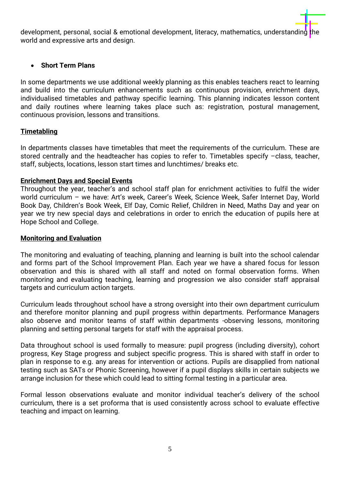development, personal, social & emotional development, literacy, mathematics, understanding the world and expressive arts and design.

# • **Short Term Plans**

In some departments we use additional weekly planning as this enables teachers react to learning and build into the curriculum enhancements such as continuous provision, enrichment days, individualised timetables and pathway specific learning. This planning indicates lesson content and daily routines where learning takes place such as: registration, postural management, continuous provision, lessons and transitions.

#### **Timetabling**

In departments classes have timetables that meet the requirements of the curriculum. These are stored centrally and the headteacher has copies to refer to. Timetables specify –class, teacher, staff, subjects, locations, lesson start times and lunchtimes/ breaks etc.

#### **Enrichment Days and Special Events**

Throughout the year, teacher's and school staff plan for enrichment activities to fulfil the wider world curriculum – we have: Art's week, Career's Week, Science Week, Safer Internet Day, World Book Day, Children's Book Week, Elf Day, Comic Relief, Children in Need, Maths Day and year on year we try new special days and celebrations in order to enrich the education of pupils here at Hope School and College.

#### **Monitoring and Evaluation**

The monitoring and evaluating of teaching, planning and learning is built into the school calendar and forms part of the School Improvement Plan. Each year we have a shared focus for lesson observation and this is shared with all staff and noted on formal observation forms. When monitoring and evaluating teaching, learning and progression we also consider staff appraisal targets and curriculum action targets.

Curriculum leads throughout school have a strong oversight into their own department curriculum and therefore monitor planning and pupil progress within departments. Performance Managers also observe and monitor teams of staff within departments -observing lessons, monitoring planning and setting personal targets for staff with the appraisal process.

Data throughout school is used formally to measure: pupil progress (including diversity), cohort progress, Key Stage progress and subject specific progress. This is shared with staff in order to plan in response to e.g. any areas for intervention or actions. Pupils are disapplied from national testing such as SATs or Phonic Screening, however if a pupil displays skills in certain subjects we arrange inclusion for these which could lead to sitting formal testing in a particular area.

Formal lesson observations evaluate and monitor individual teacher's delivery of the school curriculum, there is a set proforma that is used consistently across school to evaluate effective teaching and impact on learning.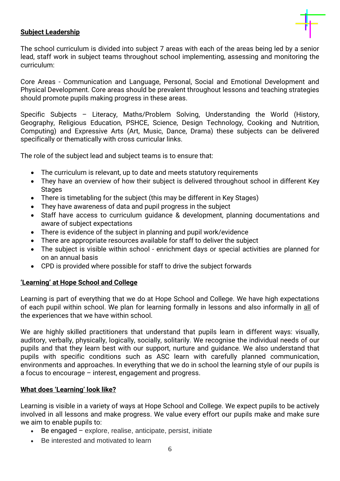

# **Subject Leadership**

The school curriculum is divided into subject 7 areas with each of the areas being led by a senior lead, staff work in subject teams throughout school implementing, assessing and monitoring the curriculum:

Core Areas - Communication and Language, Personal, Social and Emotional Development and Physical Development. Core areas should be prevalent throughout lessons and teaching strategies should promote pupils making progress in these areas.

Specific Subjects – Literacy, Maths/Problem Solving, Understanding the World (History, Geography, Religious Education, PSHCE, Science, Design Technology, Cooking and Nutrition, Computing) and Expressive Arts (Art, Music, Dance, Drama) these subjects can be delivered specifically or thematically with cross curricular links.

The role of the subject lead and subject teams is to ensure that:

- The curriculum is relevant, up to date and meets statutory requirements
- They have an overview of how their subject is delivered throughout school in different Key **Stages**
- There is timetabling for the subject (this may be different in Key Stages)
- They have awareness of data and pupil progress in the subject
- Staff have access to curriculum guidance & development, planning documentations and aware of subject expectations
- There is evidence of the subject in planning and pupil work/evidence
- There are appropriate resources available for staff to deliver the subject
- The subject is visible within school enrichment days or special activities are planned for on an annual basis
- CPD is provided where possible for staff to drive the subject forwards

#### **'Learning' at Hope School and College**

Learning is part of everything that we do at Hope School and College. We have high expectations of each pupil within school. We plan for learning formally in lessons and also informally in all of the experiences that we have within school.

We are highly skilled practitioners that understand that pupils learn in different ways: visually, auditory, verbally, physically, logically, socially, solitarily. We recognise the individual needs of our pupils and that they learn best with our support, nurture and guidance. We also understand that pupils with specific conditions such as ASC learn with carefully planned communication, environments and approaches. In everything that we do in school the learning style of our pupils is a focus to encourage – interest, engagement and progress.

#### **What does 'Learning' look like?**

Learning is visible in a variety of ways at Hope School and College. We expect pupils to be actively involved in all lessons and make progress. We value every effort our pupils make and make sure we aim to enable pupils to:

- Be engaged explore, realise, anticipate, persist, initiate
- Be interested and motivated to learn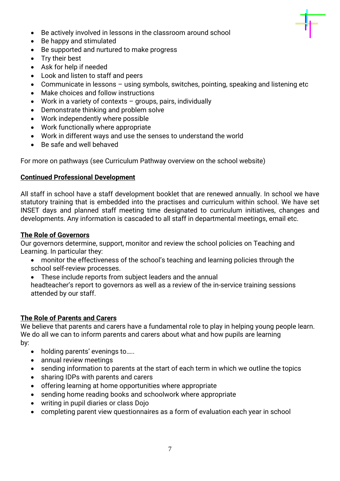- Be actively involved in lessons in the classroom around school
- Be happy and stimulated
- Be supported and nurtured to make progress
- Try their best
- Ask for help if needed
- Look and listen to staff and peers
- Communicate in lessons using symbols, switches, pointing, speaking and listening etc
- Make choices and follow instructions
- Work in a variety of contexts groups, pairs, individually
- Demonstrate thinking and problem solve
- Work independently where possible
- Work functionally where appropriate
- Work in different ways and use the senses to understand the world
- Be safe and well behaved

For more on pathways (see Curriculum Pathway overview on the school website)

# **Continued Professional Development**

All staff in school have a staff development booklet that are renewed annually. In school we have statutory training that is embedded into the practises and curriculum within school. We have set INSET days and planned staff meeting time designated to curriculum initiatives, changes and developments. Any information is cascaded to all staff in departmental meetings, email etc.

# **The Role of Governors**

Our governors determine, support, monitor and review the school policies on Teaching and Learning. In particular they:

- monitor the effectiveness of the school's teaching and learning policies through the school self-review processes.
- These include reports from subject leaders and the annual

headteacher's report to governors as well as a review of the in-service training sessions attended by our staff.

# **The Role of Parents and Carers**

We believe that parents and carers have a fundamental role to play in helping young people learn. We do all we can to inform parents and carers about what and how pupils are learning by:

- holding parents' evenings to.....
- annual review meetings
- sending information to parents at the start of each term in which we outline the topics
- sharing IDPs with parents and carers
- offering learning at home opportunities where appropriate
- sending home reading books and schoolwork where appropriate
- writing in pupil diaries or class Dojo
- completing parent view questionnaires as a form of evaluation each year in school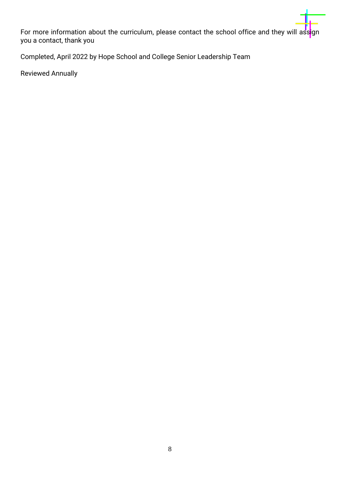For more information about the curriculum, please contact the school office and they will assign you a contact, thank you

Completed, April 2022 by Hope School and College Senior Leadership Team

Reviewed Annually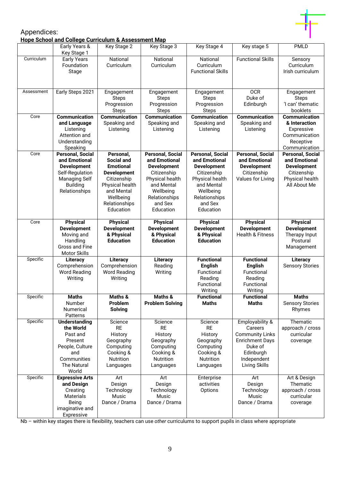

#### Appendices: **Hope School and College Curriculum & Assessment Map**

|            | Early Years &<br>Key Stage 1                                                                                                                  | Key Stage 2                                                                                                                                                         | Key Stage 3                                                                                                                                                          | Key Stage 4                                                                                                                                                          | Key stage 5                                                                                                                            | <b>PMLD</b>                                                                                                      |
|------------|-----------------------------------------------------------------------------------------------------------------------------------------------|---------------------------------------------------------------------------------------------------------------------------------------------------------------------|----------------------------------------------------------------------------------------------------------------------------------------------------------------------|----------------------------------------------------------------------------------------------------------------------------------------------------------------------|----------------------------------------------------------------------------------------------------------------------------------------|------------------------------------------------------------------------------------------------------------------|
| Curriculum | <b>Early Years</b><br>Foundation<br>Stage                                                                                                     | National<br>Curriculum                                                                                                                                              | National<br>Curriculum                                                                                                                                               | National<br>Curriculum<br><b>Functional Skills</b>                                                                                                                   | <b>Functional Skills</b>                                                                                                               | Sensory<br>Curriculum<br>Irish curriculum                                                                        |
| Assessment | Early Steps 2021                                                                                                                              | Engagement<br><b>Steps</b><br>Progression<br><b>Steps</b>                                                                                                           | Engagement<br><b>Steps</b><br>Progression<br><b>Steps</b>                                                                                                            | Engagement<br><b>Steps</b><br>Progression<br><b>Steps</b>                                                                                                            | <b>OCR</b><br>Duke of<br>Edinburgh                                                                                                     | Engagement<br><b>Steps</b><br>'I can' thematic<br>booklets                                                       |
| Core       | <b>Communication</b><br>and Language<br>Listening<br>Attention and<br>Understanding<br>Speaking                                               | <b>Communication</b><br>Speaking and<br>Listening                                                                                                                   | Communication<br>Speaking and<br>Listening                                                                                                                           | <b>Communication</b><br>Speaking and<br>Listening                                                                                                                    | <b>Communication</b><br>Speaking and<br>Listening                                                                                      | <b>Communication</b><br>& Interaction<br>Expressive<br>Communication<br>Receptive<br>Communication               |
| Core       | <b>Personal, Social</b><br>and Emotional<br><b>Development</b><br>Self-Regulation<br><b>Managing Self</b><br><b>Building</b><br>Relationships | Personal,<br><b>Social and</b><br><b>Emotional</b><br><b>Development</b><br>Citizenship<br>Physical health<br>and Mental<br>Wellbeing<br>Relationships<br>Education | <b>Personal, Social</b><br>and Emotional<br><b>Development</b><br>Citizenship<br>Physical health<br>and Mental<br>Wellbeing<br>Relationships<br>and Sex<br>Education | <b>Personal, Social</b><br>and Emotional<br><b>Development</b><br>Citizenship<br>Physical health<br>and Mental<br>Wellbeing<br>Relationships<br>and Sex<br>Education | <b>Personal, Social</b><br>and Emotional<br><b>Development</b><br>Citizenship<br>Values for Living                                     | <b>Personal, Social</b><br>and Emotional<br><b>Development</b><br>Citizenship<br>Physical health<br>All About Me |
| Core       | <b>Physical</b><br><b>Development</b><br>Moving and<br>Handling<br>Gross and Fine<br><b>Motor Skills</b>                                      | <b>Physical</b><br><b>Development</b><br>& Physical<br><b>Education</b>                                                                                             | <b>Physical</b><br><b>Development</b><br>& Physical<br><b>Education</b>                                                                                              | <b>Physical</b><br><b>Development</b><br>& Physical<br><b>Education</b>                                                                                              | <b>Physical</b><br><b>Development</b><br><b>Health &amp; Fitness</b>                                                                   | <b>Physical</b><br><b>Development</b><br>Therapy Input<br>Postural<br>Management                                 |
| Specific   | <b>Literacy</b><br>Comprehension<br><b>Word Reading</b><br>Writing                                                                            | Literacy<br>Comprehension<br><b>Word Reading</b><br>Writing                                                                                                         | Literacy<br>Reading<br>Writing                                                                                                                                       | <b>Functional</b><br><b>English</b><br>Functional<br>Reading<br>Functional<br>Writing                                                                                | <b>Functional</b><br><b>English</b><br>Functional<br>Reading<br>Functional<br>Writing                                                  | <b>Literacy</b><br><b>Sensory Stories</b>                                                                        |
| Specific   | <b>Maths</b><br>Number<br><b>Numerical</b><br>Patterns                                                                                        | Maths &<br>Problem<br><b>Solving</b>                                                                                                                                | Maths &<br><b>Problem Solving</b>                                                                                                                                    | <b>Functional</b><br><b>Maths</b>                                                                                                                                    | <b>Functional</b><br><b>Maths</b>                                                                                                      | <b>Maths</b><br><b>Sensory Stories</b><br>Rhymes                                                                 |
| Specific   | <b>Understanding</b><br>the World<br>Past and<br>Present<br>People, Culture<br>and<br>Communities<br><b>The Natural</b><br>World              | Science<br><b>RE</b><br>History<br>Geography<br>Computing<br>Cooking &<br><b>Nutrition</b><br>Languages                                                             | Science<br><b>RE</b><br>History<br>Geography<br>Computing<br>Cooking &<br><b>Nutrition</b><br>Languages                                                              | Science<br><b>RE</b><br>History<br>Geography<br>Computing<br>Cooking &<br>Nutrition<br>Languages                                                                     | Employability &<br>Careers<br><b>Community Links</b><br><b>Enrichment Days</b><br>Duke of<br>Edinburgh<br>Independent<br>Living Skills | Thematic<br>approach / cross<br>curricular<br>coverage                                                           |
| Specific   | <b>Expressive Arts</b><br>and Design<br>Creating<br><b>Materials</b><br>Being<br>imaginative and<br>Expressive                                | Art<br>Design<br>Technology<br>Music<br>Dance / Drama                                                                                                               | Art<br>Design<br>Technology<br>Music<br>Dance / Drama                                                                                                                | Enterprise<br>activities<br>Options                                                                                                                                  | Art<br>Design<br>Technology<br>Music<br>Dance / Drama                                                                                  | Art & Design<br>Thematic<br>approach / cross<br>curricular<br>coverage                                           |

Nb – within key stages there is flexibility, teachers can use *other* curriculums to support pupils in class where appropriate